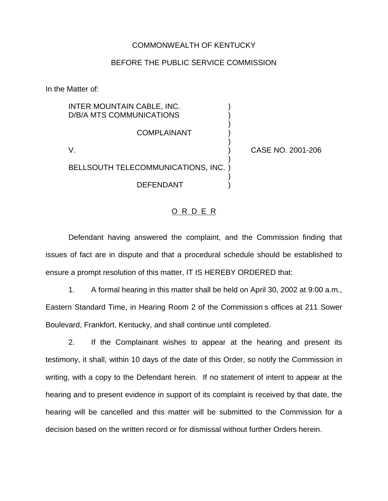## COMMONWEALTH OF KENTUCKY

## BEFORE THE PUBLIC SERVICE COMMISSION

)

)

)

)

In the Matter of:

INTER MOUNTAIN CABLE, INC. ) D/B/A MTS COMMUNICATIONS )

**COMPLAINANT** 

V. ) CASE NO. 2001-206

BELLSOUTH TELECOMMUNICATIONS, INC. )

DEFENDANT )

## <u>O R D E R</u>

Defendant having answered the complaint, and the Commission finding that issues of fact are in dispute and that a procedural schedule should be established to ensure a prompt resolution of this matter, IT IS HEREBY ORDERED that:

1. A formal hearing in this matter shall be held on April 30, 2002 at 9:00 a.m., Eastern Standard Time, in Hearing Room 2 of the Commission s offices at 211 Sower Boulevard, Frankfort, Kentucky, and shall continue until completed.

2. If the Complainant wishes to appear at the hearing and present its testimony, it shall, within 10 days of the date of this Order, so notify the Commission in writing, with a copy to the Defendant herein. If no statement of intent to appear at the hearing and to present evidence in support of its complaint is received by that date, the hearing will be cancelled and this matter will be submitted to the Commission for a decision based on the written record or for dismissal without further Orders herein.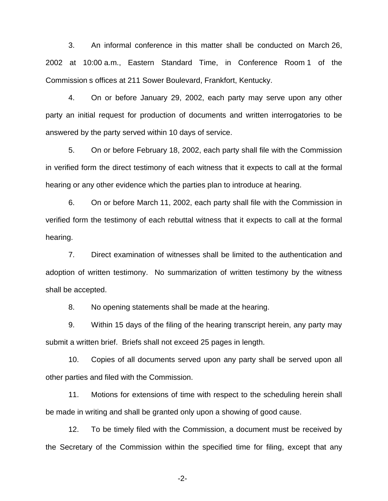3. An informal conference in this matter shall be conducted on March 26, 2002 at 10:00 a.m., Eastern Standard Time, in Conference Room 1 of the Commission s offices at 211 Sower Boulevard, Frankfort, Kentucky.

4. On or before January 29, 2002, each party may serve upon any other party an initial request for production of documents and written interrogatories to be answered by the party served within 10 days of service.

5. On or before February 18, 2002, each party shall file with the Commission in verified form the direct testimony of each witness that it expects to call at the formal hearing or any other evidence which the parties plan to introduce at hearing.

6. On or before March 11, 2002, each party shall file with the Commission in verified form the testimony of each rebuttal witness that it expects to call at the formal hearing.

7. Direct examination of witnesses shall be limited to the authentication and adoption of written testimony. No summarization of written testimony by the witness shall be accepted.

8. No opening statements shall be made at the hearing.

9. Within 15 days of the filing of the hearing transcript herein, any party may submit a written brief. Briefs shall not exceed 25 pages in length.

10. Copies of all documents served upon any party shall be served upon all other parties and filed with the Commission.

11. Motions for extensions of time with respect to the scheduling herein shall be made in writing and shall be granted only upon a showing of good cause.

12. To be timely filed with the Commission, a document must be received by the Secretary of the Commission within the specified time for filing, except that any

-2-